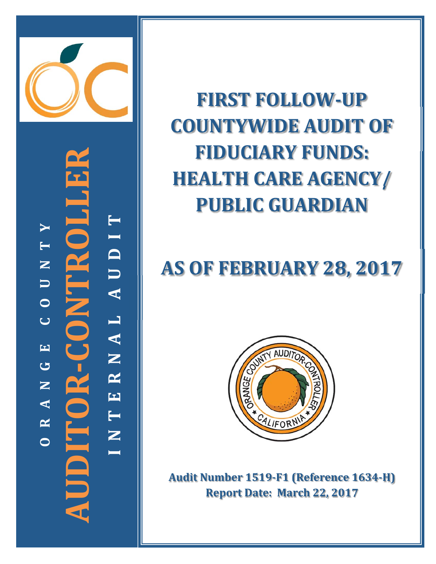

**AUDITOR‐CONTROLLER** JNTROI **N T E R N A L A U D I T** AUDIT  $\blacktriangleright$  **R A N G E C O U N T Y**  $\blacksquare$  $\mathbf{Z}$  $\Box$  $\circ$ RNAL  $\overline{C}$  $\overline{\mathbf{H}}$ JDITOR- $\overline{C}$  $\mathbf{Z}$  $\mathbf{E}$  $\blacktriangleleft$ **I** $\mathbf{\underline{\sim}}$ **O**

**FIRST FOLLOW ‐UP COUNTYWIDE AUDIT OF FIDUCIARY FUNDS: HEALTH CARE AGENCY/ PUBLIC GUARDIAN**

# **AS OF FEBRUARY 28, 2017**



**Audit Number 1519 ‐F1 (Reference 1634 ‐H) Report Date: March 22, 2017**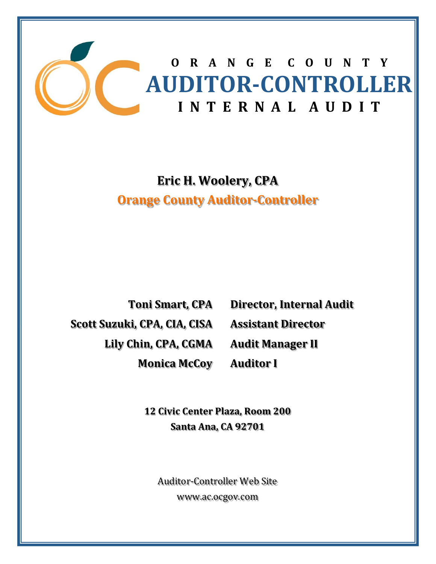

## **Eric H. Woolery, CPA Orange County Auditor‐Controller**

**Toni Smart, CPA Scott Suzuki, CPA, CIA, CISA Lily Chin, CPA, CGMA Monica McCoy**

**Director, Internal Audit Assistant Director Audit Manager II Auditor I**

**12 Civic Center Plaza, Room 200 Santa Ana, CA 92701**

Auditor-Controller Web Site www.ac.ocgov.com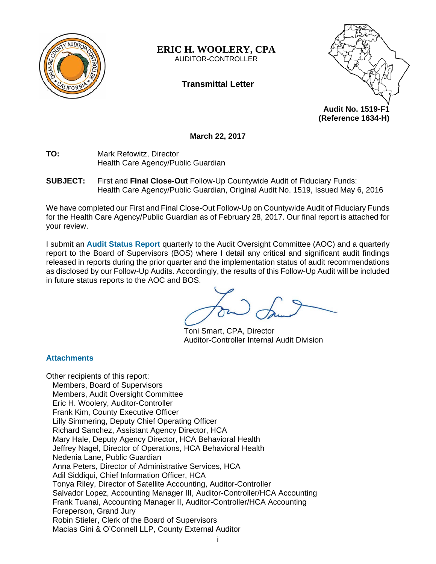

**ERIC H. WOOLERY, CPA**  AUDITOR-CONTROLLER

### **Transmittal Letter**



**(Reference 1634-H)** 

**March 22, 2017** 

- **TO:** Mark Refowitz, Director Health Care Agency/Public Guardian
- **SUBJECT:** First and **Final Close-Out** Follow-Up Countywide Audit of Fiduciary Funds: Health Care Agency/Public Guardian, Original Audit No. 1519, Issued May 6, 2016

We have completed our First and Final Close-Out Follow-Up on Countywide Audit of Fiduciary Funds for the Health Care Agency/Public Guardian as of February 28, 2017. Our final report is attached for your review.

I submit an **Audit Status Report** quarterly to the Audit Oversight Committee (AOC) and a quarterly report to the Board of Supervisors (BOS) where I detail any critical and significant audit findings released in reports during the prior quarter and the implementation status of audit recommendations as disclosed by our Follow-Up Audits. Accordingly, the results of this Follow-Up Audit will be included in future status reports to the AOC and BOS.

Toni Smart, CPA, Director Auditor-Controller Internal Audit Division

#### **Attachments**

Other recipients of this report: Members, Board of Supervisors Members, Audit Oversight Committee Eric H. Woolery, Auditor-Controller Frank Kim, County Executive Officer Lilly Simmering, Deputy Chief Operating Officer Richard Sanchez, Assistant Agency Director, HCA Mary Hale, Deputy Agency Director, HCA Behavioral Health Jeffrey Nagel, Director of Operations, HCA Behavioral Health Nedenia Lane, Public Guardian Anna Peters, Director of Administrative Services, HCA Adil Siddiqui, Chief Information Officer, HCA Tonya Riley, Director of Satellite Accounting, Auditor-Controller Salvador Lopez, Accounting Manager III, Auditor-Controller/HCA Accounting Frank Tuanai, Accounting Manager II, Auditor-Controller/HCA Accounting Foreperson, Grand Jury Robin Stieler, Clerk of the Board of Supervisors Macias Gini & O'Connell LLP, County External Auditor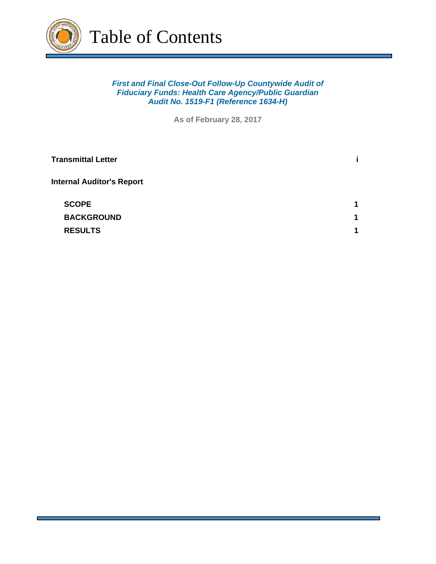

#### *First and Final Close-Out Follow-Up Countywide Audit of Fiduciary Funds: Health Care Agency/Public Guardian Audit No. 1519-F1 (Reference 1634-H)*

**As of February 28, 2017**

| <b>Transmittal Letter</b>        |   |
|----------------------------------|---|
| <b>Internal Auditor's Report</b> |   |
| <b>SCOPE</b>                     | 1 |
| <b>BACKGROUND</b>                | 1 |
| <b>RESULTS</b>                   | 1 |
|                                  |   |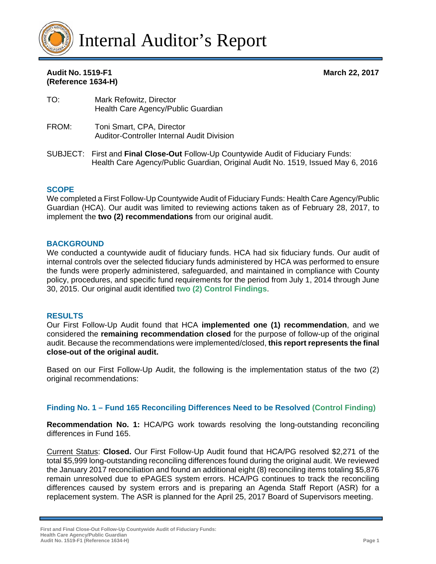

#### **Audit No. 1519-F1 March 22, 2017 (Reference 1634-H)**

- TO: Mark Refowitz, Director Health Care Agency/Public Guardian
- FROM: Toni Smart, CPA, Director Auditor-Controller Internal Audit Division
- SUBJECT: First and **Final Close-Out** Follow-Up Countywide Audit of Fiduciary Funds: Health Care Agency/Public Guardian, Original Audit No. 1519, Issued May 6, 2016

#### **SCOPE**

We completed a First Follow-Up Countywide Audit of Fiduciary Funds: Health Care Agency/Public Guardian (HCA). Our audit was limited to reviewing actions taken as of February 28, 2017, to implement the **two (2) recommendations** from our original audit.

#### **BACKGROUND**

We conducted a countywide audit of fiduciary funds. HCA had six fiduciary funds. Our audit of internal controls over the selected fiduciary funds administered by HCA was performed to ensure the funds were properly administered, safeguarded, and maintained in compliance with County policy, procedures, and specific fund requirements for the period from July 1, 2014 through June 30, 2015. Our original audit identified **two (2) Control Findings**.

#### **RESULTS**

Our First Follow-Up Audit found that HCA **implemented one (1) recommendation**, and we considered the **remaining recommendation closed** for the purpose of follow-up of the original audit. Because the recommendations were implemented/closed, **this report represents the final close-out of the original audit.**

Based on our First Follow-Up Audit, the following is the implementation status of the two (2) original recommendations:

#### **Finding No. 1 – Fund 165 Reconciling Differences Need to be Resolved (Control Finding)**

**Recommendation No. 1:** HCA/PG work towards resolving the long-outstanding reconciling differences in Fund 165.

Current Status: **Closed.** Our First Follow-Up Audit found that HCA/PG resolved \$2,271 of the total \$5,999 long-outstanding reconciling differences found during the original audit. We reviewed the January 2017 reconciliation and found an additional eight (8) reconciling items totaling \$5,876 remain unresolved due to ePAGES system errors. HCA/PG continues to track the reconciling differences caused by system errors and is preparing an Agenda Staff Report (ASR) for a replacement system. The ASR is planned for the April 25, 2017 Board of Supervisors meeting.

**First and Final Close-Out Follow-Up Countywide Audit of Fiduciary Funds: Health Care Agency/Public Guardian Audit No. 1519-F1 (Reference 1634-H) Page 1**